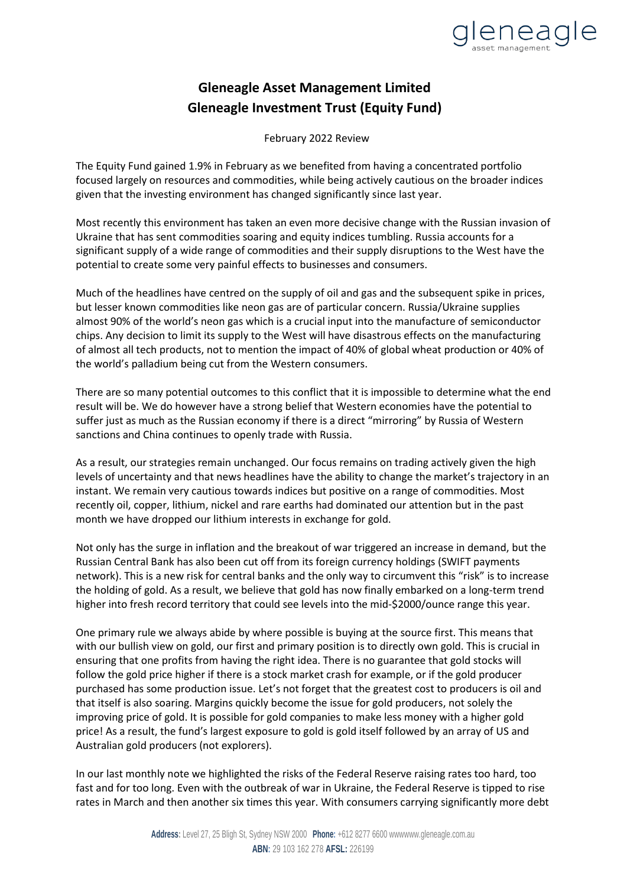

## **Gleneagle Asset Management Limited Gleneagle Investment Trust (Equity Fund)**

February 2022 Review

The Equity Fund gained 1.9% in February as we benefited from having a concentrated portfolio focused largely on resources and commodities, while being actively cautious on the broader indices given that the investing environment has changed significantly since last year.

Most recently this environment has taken an even more decisive change with the Russian invasion of Ukraine that has sent commodities soaring and equity indices tumbling. Russia accounts for a significant supply of a wide range of commodities and their supply disruptions to the West have the potential to create some very painful effects to businesses and consumers.

Much of the headlines have centred on the supply of oil and gas and the subsequent spike in prices, but lesser known commodities like neon gas are of particular concern. Russia/Ukraine supplies almost 90% of the world's neon gas which is a crucial input into the manufacture of semiconductor chips. Any decision to limit its supply to the West will have disastrous effects on the manufacturing of almost all tech products, not to mention the impact of 40% of global wheat production or 40% of the world's palladium being cut from the Western consumers.

There are so many potential outcomes to this conflict that it is impossible to determine what the end result will be. We do however have a strong belief that Western economies have the potential to suffer just as much as the Russian economy if there is a direct "mirroring" by Russia of Western sanctions and China continues to openly trade with Russia.

As a result, our strategies remain unchanged. Our focus remains on trading actively given the high levels of uncertainty and that news headlines have the ability to change the market's trajectory in an instant. We remain very cautious towards indices but positive on a range of commodities. Most recently oil, copper, lithium, nickel and rare earths had dominated our attention but in the past month we have dropped our lithium interests in exchange for gold.

Not only has the surge in inflation and the breakout of war triggered an increase in demand, but the Russian Central Bank has also been cut off from its foreign currency holdings (SWIFT payments network). This is a new risk for central banks and the only way to circumvent this "risk" is to increase the holding of gold. As a result, we believe that gold has now finally embarked on a long-term trend higher into fresh record territory that could see levels into the mid-\$2000/ounce range this year.

One primary rule we always abide by where possible is buying at the source first. This means that with our bullish view on gold, our first and primary position is to directly own gold. This is crucial in ensuring that one profits from having the right idea. There is no guarantee that gold stocks will follow the gold price higher if there is a stock market crash for example, or if the gold producer purchased has some production issue. Let's not forget that the greatest cost to producers is oil and that itself is also soaring. Margins quickly become the issue for gold producers, not solely the improving price of gold. It is possible for gold companies to make less money with a higher gold price! As a result, the fund's largest exposure to gold is gold itself followed by an array of US and Australian gold producers (not explorers).

In our last monthly note we highlighted the risks of the Federal Reserve raising rates too hard, too fast and for too long. Even with the outbreak of war in Ukraine, the Federal Reserve is tipped to rise rates in March and then another six times this year. With consumers carrying significantly more debt